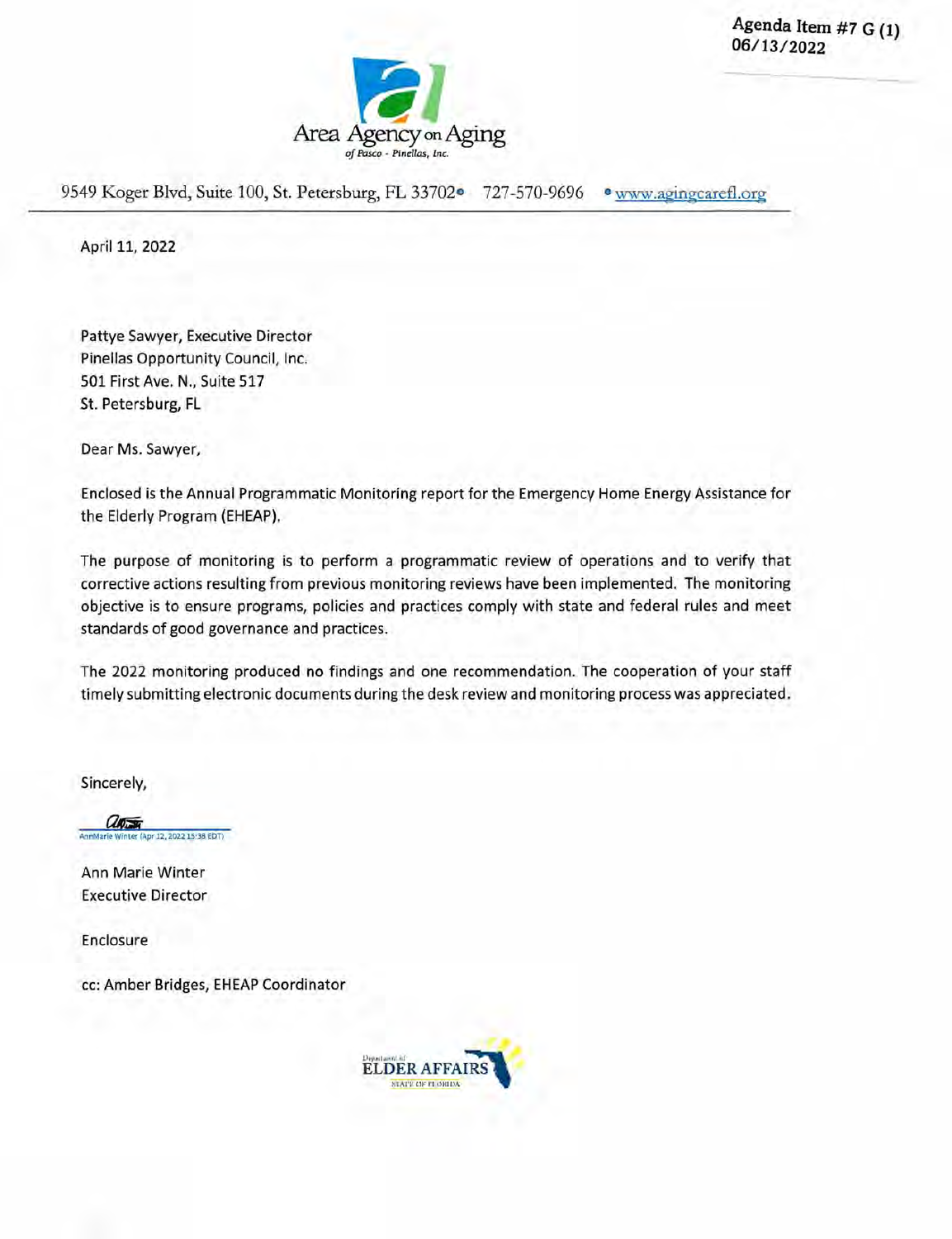Agenda Item **#7** G **(1) 06/1 3/2022** 



9549 Koger Blvd, Suite 100, St. Petersburg, FL 33702<sup>o</sup> 727-570-9696 · www.agingcarefl.org

April 11, 2022

Pattye Sawyer, Executive Director Pinellas Opportunity Council, Inc. 501 First Ave. N., Suite 517 St. Petersburg, FL

Dear Ms. Sawyer,

Enclosed is the Annual Programmatic Monitoring report for the Emergency Home Energy Assistance for the Elderly Program (EHEAP).

The purpose of monitoring is to perform a programmatic review of operations and to verify that corrective actions resulting from previous monitoring reviews have been implemented. The monitoring objective is to ensure programs, policies and practices comply with state and federal rules and meet standards of good governance and practices.

The 2022 monitoring produced no findings and one recommendation. The cooperation of your staff timely submitting electronic documents during the desk review and monitoring process was appreciated.

Sincerely,

anton hter (Apr 12, 2022 15:38 EDT)

Ann Marie Winter Executive Director

Enclosure

cc: Amber Bridges, EHEAP Coordinator

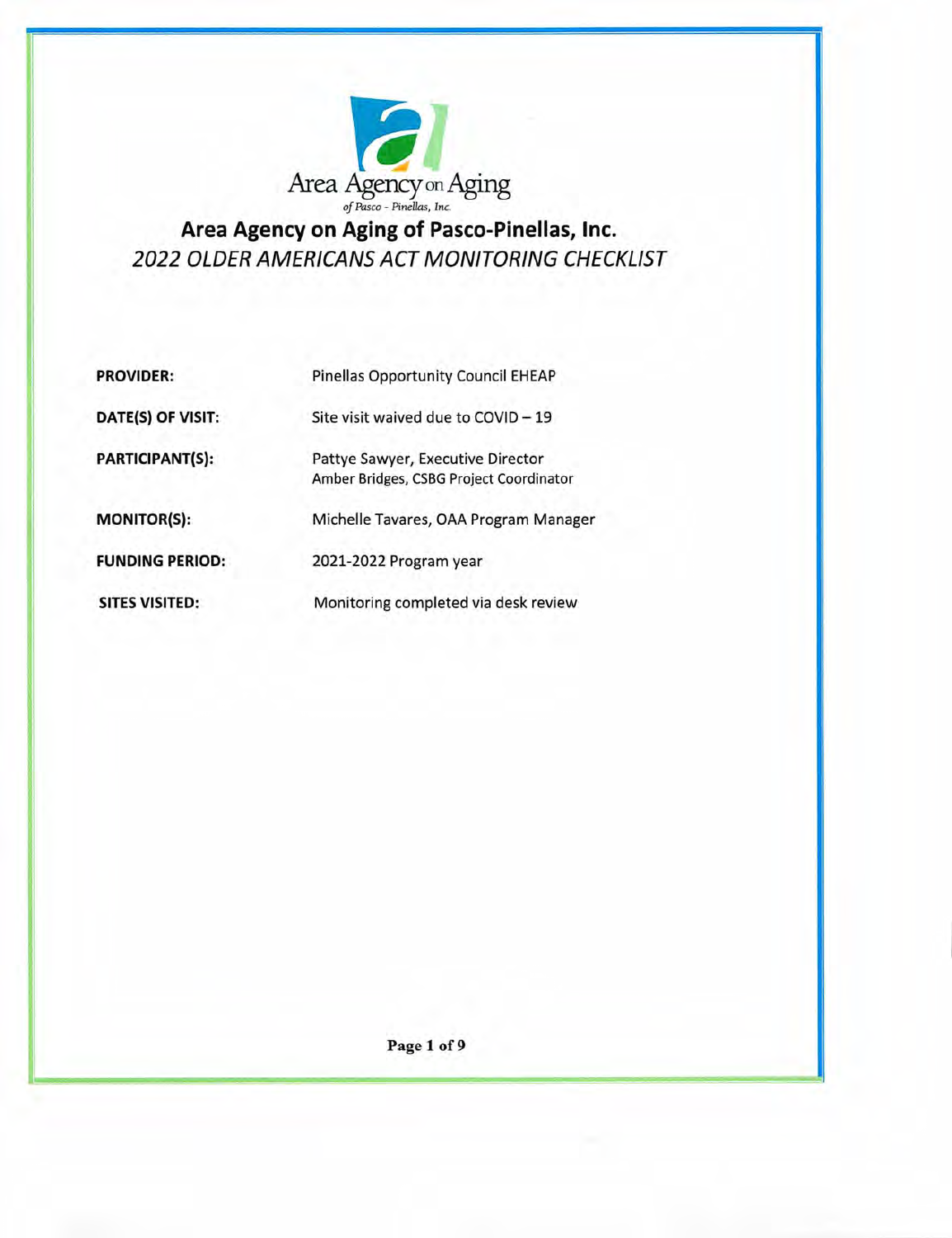

**Area Agency on Aging of Pasco-Pinellas, Inc.**  *2022 OLDER AMERICANS ACT MONITORING CHECKLIST* 

| <b>PROVIDER:</b>       | <b>Pinellas Opportunity Council EHEAP</b>                                    |
|------------------------|------------------------------------------------------------------------------|
| DATE(S) OF VISIT:      | Site visit waived due to COVID - 19                                          |
| <b>PARTICIPANT(S):</b> | Pattye Sawyer, Executive Director<br>Amber Bridges, CSBG Project Coordinator |
| <b>MONITOR(S):</b>     | Michelle Tavares, OAA Program Manager                                        |
| <b>FUNDING PERIOD:</b> | 2021-2022 Program year                                                       |
| <b>SITES VISITED:</b>  | Monitoring completed via desk review                                         |

Page 1 of 9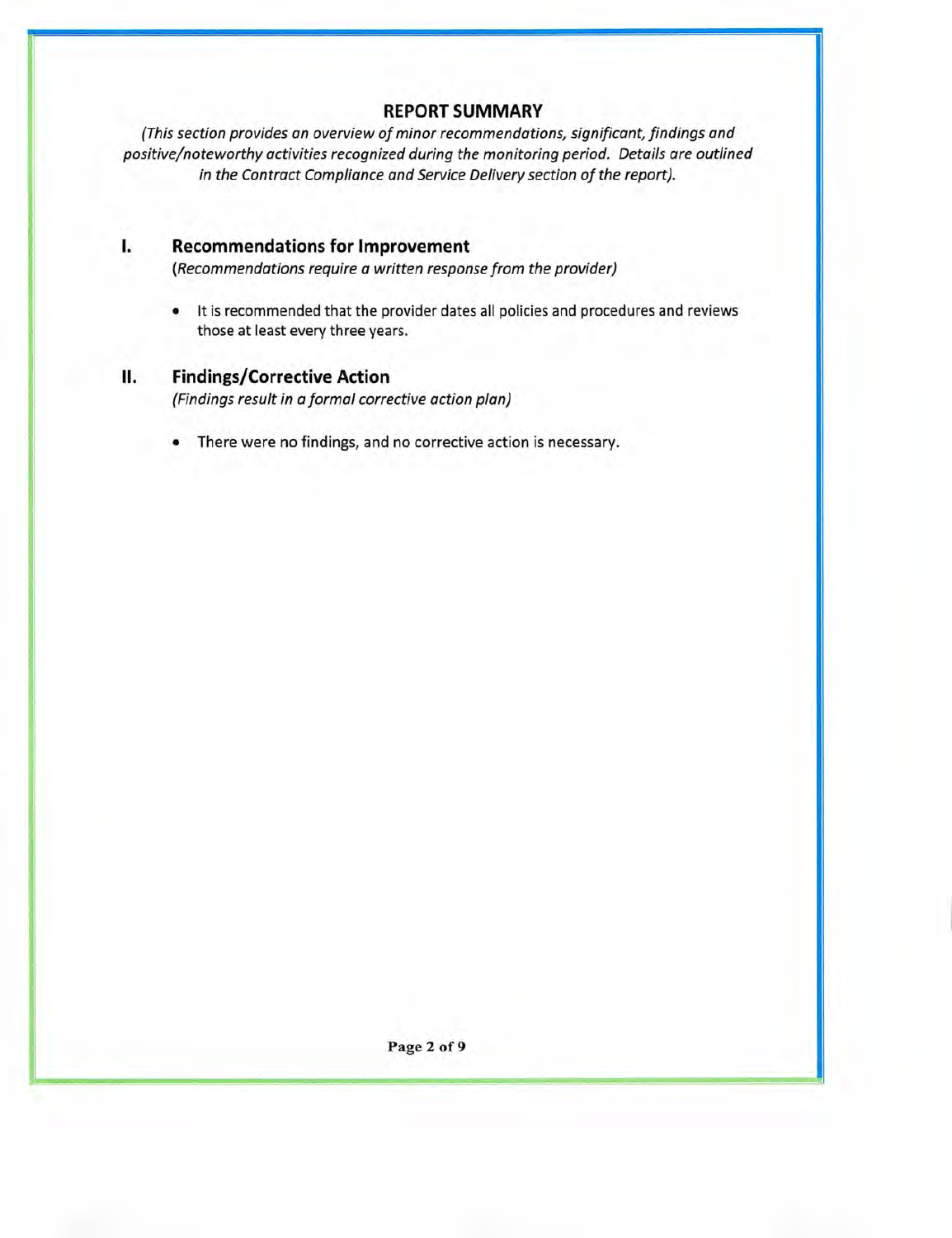# **REPORT SUMMARY**

(This section provides an overview of minor recommendations, significant, findings and positive/noteworthy activities recognized during the monitoring period. Details are outlined in the Contract Compliance and Service Delivery section of the report).

# **I. Recommendations for Improvement**

(Recommendations require a written response from the provider)

• It is recommended that the provider dates all policies and procedures and reviews those at least every three years.

# **II. Findings/Corrective Action**

(Findings result in a formal corrective action plan)

• There were no findings, and no corrective action is necessary.

Page 2 of 9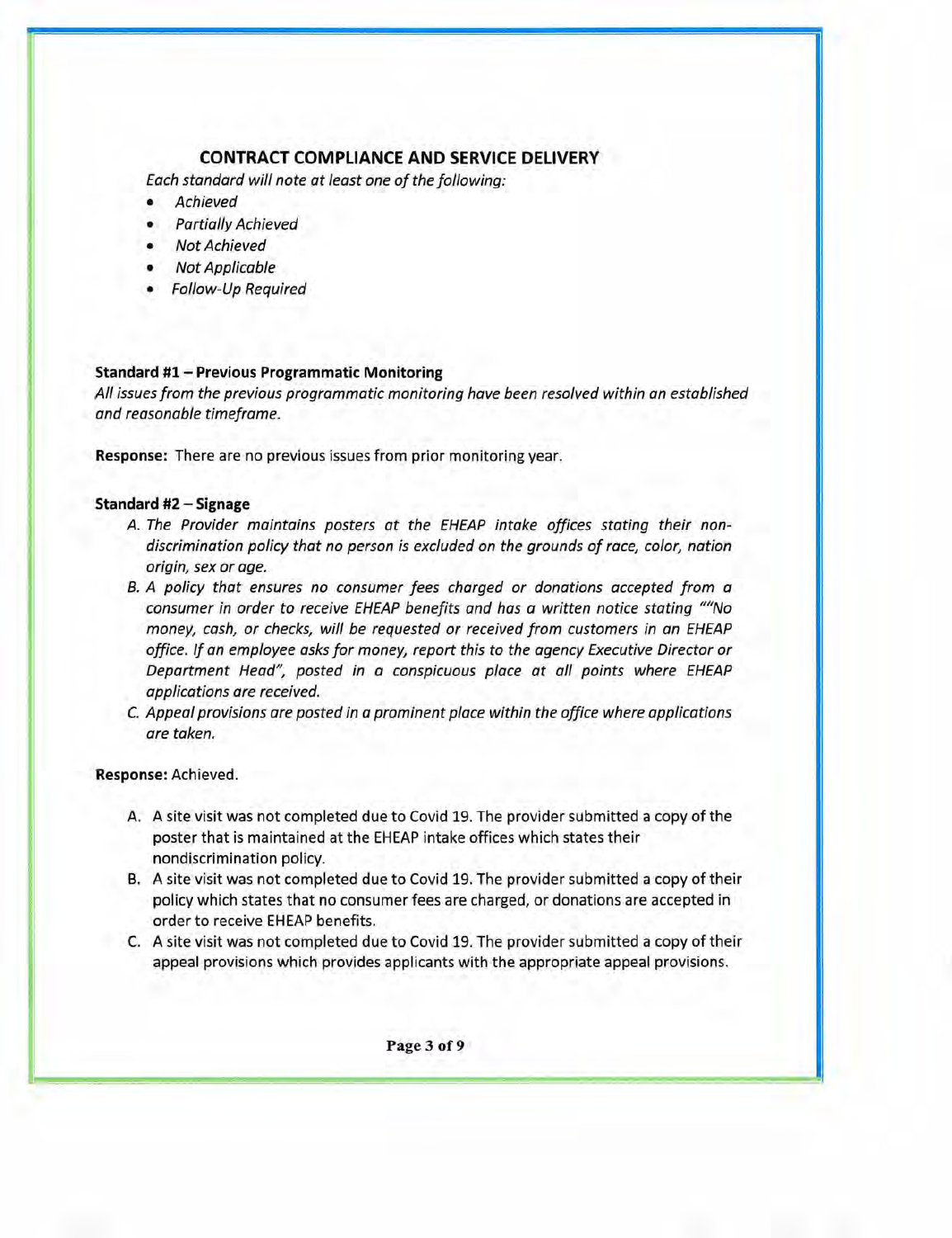# **CONTRACT COMPLIANCE AND SERVICE DELIVERY**

Each standard will note at least one of the following:

- Achieved
- Partially Achieved
- Not Achieved
- Not Applicable
- Follow-Up Required

#### **Standard #1 — Previous Programmatic Monitoring**

All issues from the previous programmatic monitoring have been resolved within an established and reasonable timeframe.

**Response:** There are no previous issues from prior monitoring year.

#### **Standard #2** — **Signage**

- A. The Provider maintains posters at the EHEAP intake offices stating their nondiscrimination policy that no person is excluded on the grounds of race, color, nation origin, sex or age.
- B. A policy that ensures no consumer fees charged or donations accepted from a consumer in order to receive EHEAP benefits and has a written notice stating ""No money, cash, or checks, will be requested or received from customers in an EHEAP office. If an employee asks for money, report this to the agency Executive Director or Department Head", posted in a conspicuous place at all points where EHEAP applications are received.
- C. Appeal provisions are posted in a prominent place within the office where applications are taken.

#### **Response:** Achieved.

- A. A site visit was not completed due to Covid 19. The provider submitted a copy of the poster that is maintained at the EHEAP intake offices which states their nondiscrimination policy.
- B. A site visit was not completed due to Covid 19. The provider submitted a copy of their policy which states that no consumer fees are charged, or donations are accepted in order to receive EHEAP benefits.
- C. A site visit was not completed due to Covid 19. The provider submitted a copy of their appeal provisions which provides applicants with the appropriate appeal provisions.

Page 3 of 9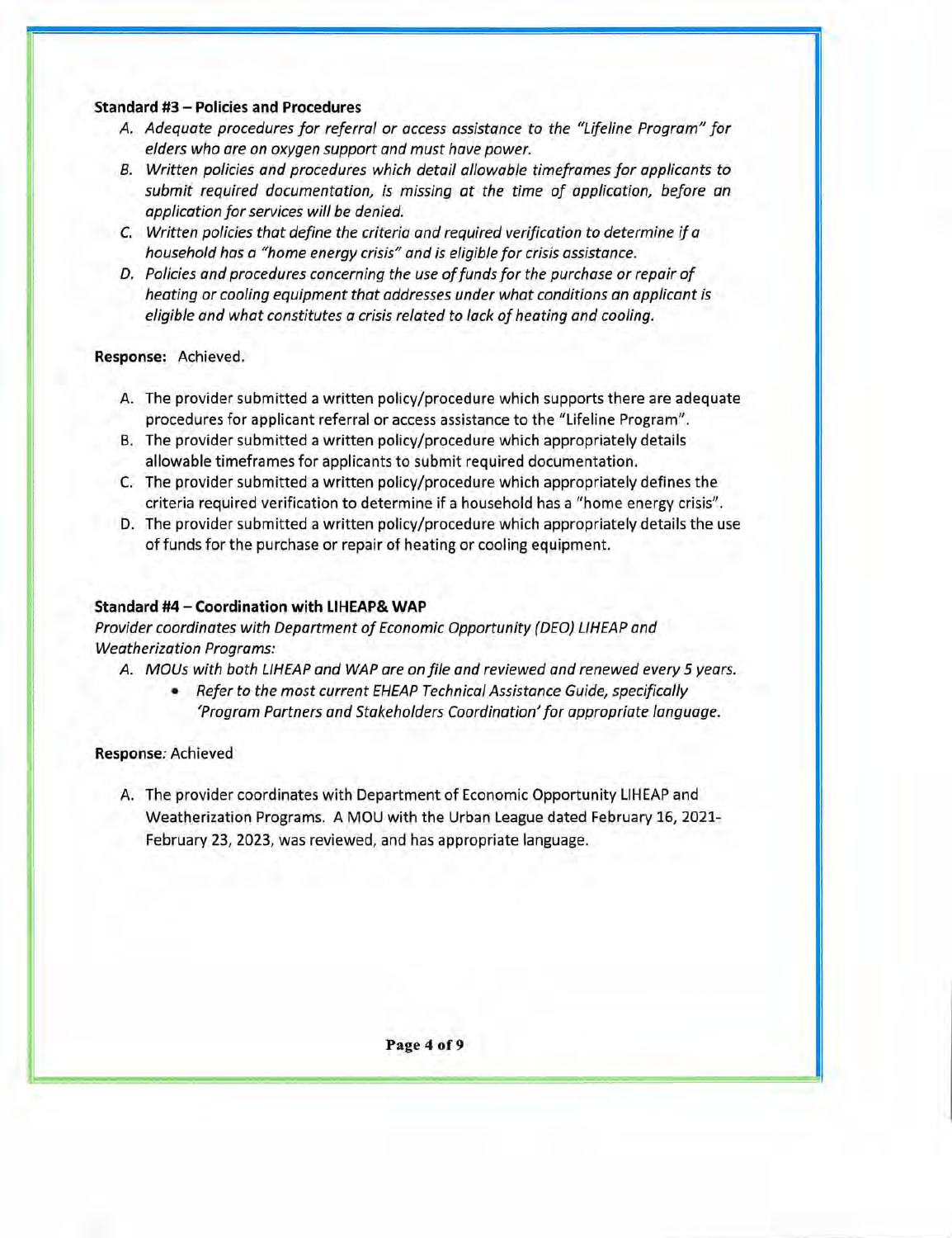#### Standard **#3** — **Policies and Procedures**

- A. Adequate procedures for referral or access assistance to the "Lifeline Program" for elders who are on oxygen support and must have power.
- B. Written policies and procedures which detail allowable timeframes for applicants to submit required documentation, is missing at the time of application, before an application for services will be denied.
- C. Written policies that define the criteria and required verification to determine if a household has a "home energy crisis" and is eligible for crisis assistance.
- D. Policies and procedures concerning the use of funds for the purchase or repair of heating or cooling equipment that addresses under what conditions an applicant is eligible and what constitutes a crisis related to lack of heating and cooling.

#### **Response:** Achieved.

- A. The provider submitted a written policy/procedure which supports there are adequate procedures for applicant referral or access assistance to the "Lifeline Program".
- B. The provider submitted a written policy/procedure which appropriately details allowable timeframes for applicants to submit required documentation.
- C. The provider submitted a written policy/procedure which appropriately defines the criteria required verification to determine if a household has a "home energy crisis".
- D. The provider submitted a written policy/procedure which appropriately details the use of funds for the purchase or repair of heating or cooling equipment.

#### **Standard #4— Coordination with LIHEAP& WAP**

Provider coordinates with Department of Economic Opportunity (DEO) LIHEAP and Weatherization Programs:

#### A. MOUs with both LIHEAP and WAP are on file and reviewed and renewed every 5 years.

• Refer to the most current EHEAP Technical Assistance Guide, specifically 'Program Partners and Stakeholders Coordination' for appropriate language.

#### **Response:** Achieved

A. The provider coordinates with Department of Economic Opportunity LIHEAP and Weatherization Programs. A MOU with the Urban League dated February 16, 2021- February 23, 2023, was reviewed, and has appropriate language.

**Page 4 of 9**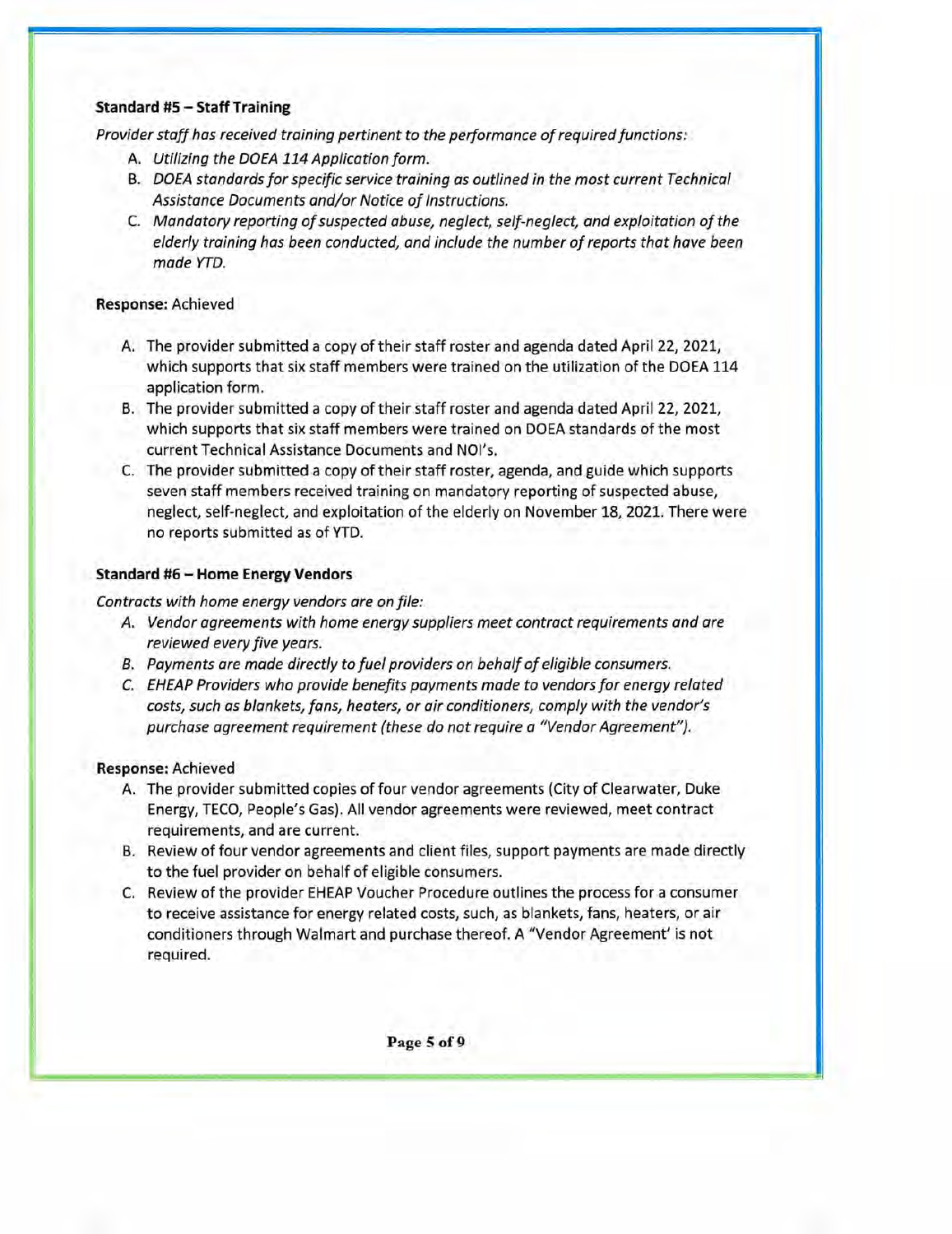### Standard **#5** — **Staff Training**

*Provider staff has received training pertinent to the performance of required functions:* 

- *A. Utilizing the DOEA 114 Application form.*
- *B. DOEA standards for specific service training as outlined in the most current Technical Assistance Documents and/or Notice of Instructions.*
- *C. Mandatory reporting of suspected abuse, neglect, self-neglect, and exploitation of the elderly training has been conducted, and include the number of reports that have been made YTD.*

### **Response:** Achieved

- A. The provider submitted a copy of their staff roster and agenda dated April 22, 2021, which supports that six staff members were trained on the utilization of the DOEA 114 application form.
- B. The provider submitted a copy of their staff roster and agenda dated April 22, 2021, which supports that six staff members were trained on DOEA standards of the most current Technical Assistance Documents and NOI's.
- C. The provider submitted a copy of their staff roster, agenda, and guide which supports seven staff members received training on mandatory reporting of suspected abuse, neglect, self-neglect, and exploitation of the elderly on November 18, 2021. There were no reports submitted as of YTD.

### **Standard #6 — Home Energy Vendors**

*Contracts with home energy vendors are on file:* 

- *A. Vendor agreements with home energy suppliers meet contract requirements and are reviewed every five years.*
- *B. Payments are made directly to fuel providers on behalf of eligible consumers.*
- *C. EHEAP Providers who provide benefits payments made to vendors for energy related costs, such as blankets, fans, heaters, or air conditioners, comply with the vendor's purchase agreement requirement (these do not require a "Vendor Agreement").*

#### **Response:** Achieved

- A. The provider submitted copies of four vendor agreements (City of Clearwater, Duke Energy, TECO, People's Gas). All vendor agreements were reviewed, meet contract requirements, and are current.
- B. Review of four vendor agreements and client files, support payments are made directly to the fuel provider on behalf of eligible consumers.
- C, Review of the provider EHEAP Voucher Procedure outlines the process for a consumer to receive assistance for energy related costs, such, as blankets, fans, heaters, or air conditioners through Walmart and purchase thereof. A "Vendor Agreement' is not required.

**Page 5 of 9**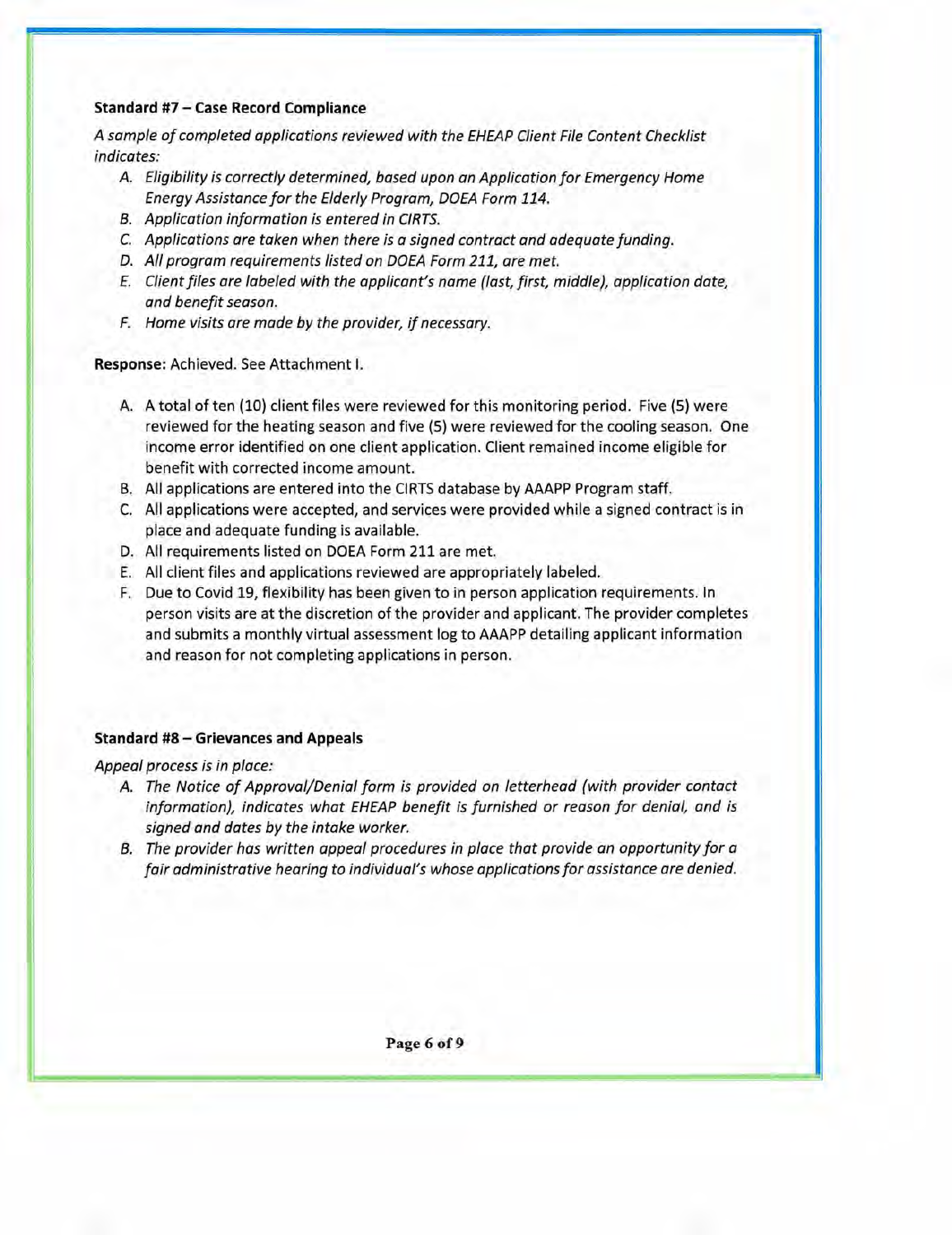### **Standard #7 — Case Record Compliance**

A sample of completed applications reviewed with the EHEAP Client File Content Checklist indicates:

- A. Eligibility is correctly determined, based upon an Application for Emergency Home Energy Assistance for the Elderly Program, DOEA Form 114.
- B. Application information is entered in CIRTS.
- C. Applications are taken when there is a signed contract and adequate funding.
- D. All program requirements listed on DOEA Form 211, are met.
- E. Client files are labeled with the applicant's name (last, first, middle), application date, and benefit season.
- F. Home visits are made by the provider, if necessary.

**Response:** Achieved. See Attachment I.

- A. A total of ten (10) client files were reviewed for this monitoring period. Five (5) were reviewed for the heating season and five (5) were reviewed for the cooling season. One income error identified on one client application. Client remained income eligible for benefit with corrected income amount.
- B. All applications are entered into the CIRTS database by AAAPP Program staff.
- C. All applications were accepted, and services were provided while a signed contract is in place and adequate funding is available.
- D. All requirements listed on DOEA Form 211 are met.
- E. All client files and applications reviewed are appropriately labeled.
- F. Due to Covid 19, flexibility has been given to in person application requirements. In person visits are at the discretion of the provider and applicant. The provider completes and submits a monthly virtual assessment log to AAAPP detailing applicant information and reason for not completing applications in person.

### **Standard #8 — Grievances and Appeals**

Appeal process is in place:

- A. The Notice of Approval/Denial form is provided on letterhead (with provider contact information), indicates what EHEAP benefit is furnished or reason for denial, and is signed and dates by the intake worker.
- B. The provider has written appeal procedures in place that provide an opportunity for a fair administrative hearing to individual's whose applications for assistance are denied.

**Page 6 of 9**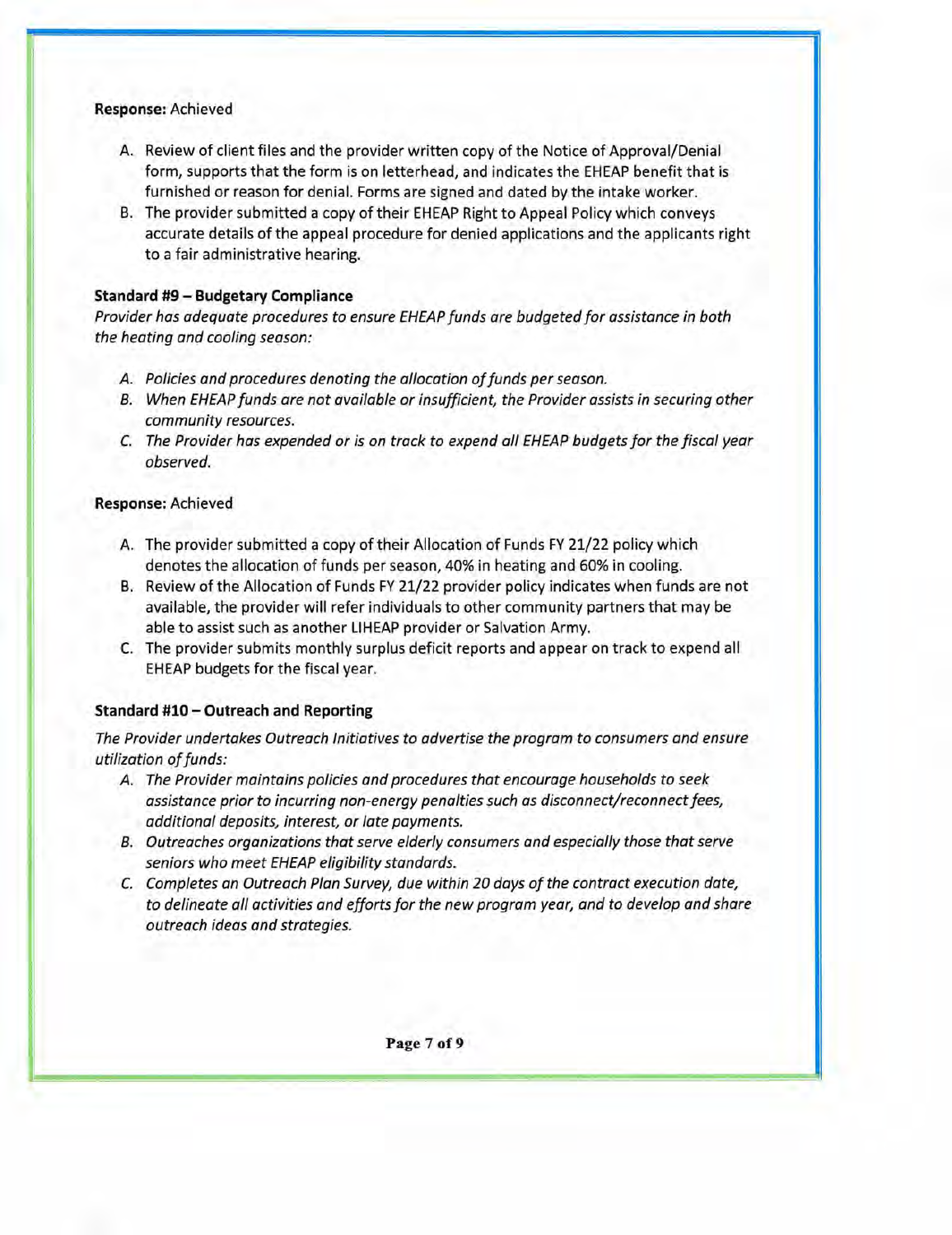#### **Response:** Achieved

- A. Review of client files and the provider written copy of the Notice of Approval/Denial form, supports that the form is on letterhead, and indicates the EHEAP benefit that is furnished or reason for denial. Forms are signed and dated by the intake worker.
- B. The provider submitted a copy of their EHEAP Right to Appeal Policy which conveys accurate details of the appeal procedure for denied applications and the applicants right to a fair administrative hearing.

### **Standard #9— Budgetary Compliance**

Provider has adequate procedures to ensure EHEAP funds are budgeted for assistance in both the heating and cooling season:

- A. Policies and procedures denoting the allocation of funds per season.
- B. When EHEAP funds are not available or insufficient, the Provider assists in securing other community resources.
- C. The Provider has expended or is on track to expend all EHEAP budgets for the fiscal year observed.

### **Response:** Achieved

- A. The provider submitted a copy of their Allocation of Funds FY 21/22 policy which denotes the allocation of funds per season, 40% in heating and 60% in cooling.
- B. Review of the Allocation of Funds FY 21/22 provider policy indicates when funds are not available, the provider will refer individuals to other community partners that may be able to assist such as another LIHEAP provider or Salvation Army.
- C. The provider submits monthly surplus deficit reports and appear on track to expend all EHEAP budgets for the fiscal year.

### **Standard #10 — Outreach and Reporting**

The Provider undertakes Outreach Initiatives to advertise the program to consumers and ensure utilization of funds:

- A. The Provider maintains policies and procedures that encourage households to seek assistance prior to incurring non-energy penalties such as disconnect/reconnect fees, additional deposits, interest, or late payments.
- B. Out reaches organizations that serve elderly consumers and especially those that serve seniors who meet EHEAP eligibility standards.
- C. Completes an Outreach Plan Survey, due within 20 days of the contract execution date, to delineate all activities and efforts for the new program year, and to develop and share outreach ideas and strategies.

**Page** 7 **of 9**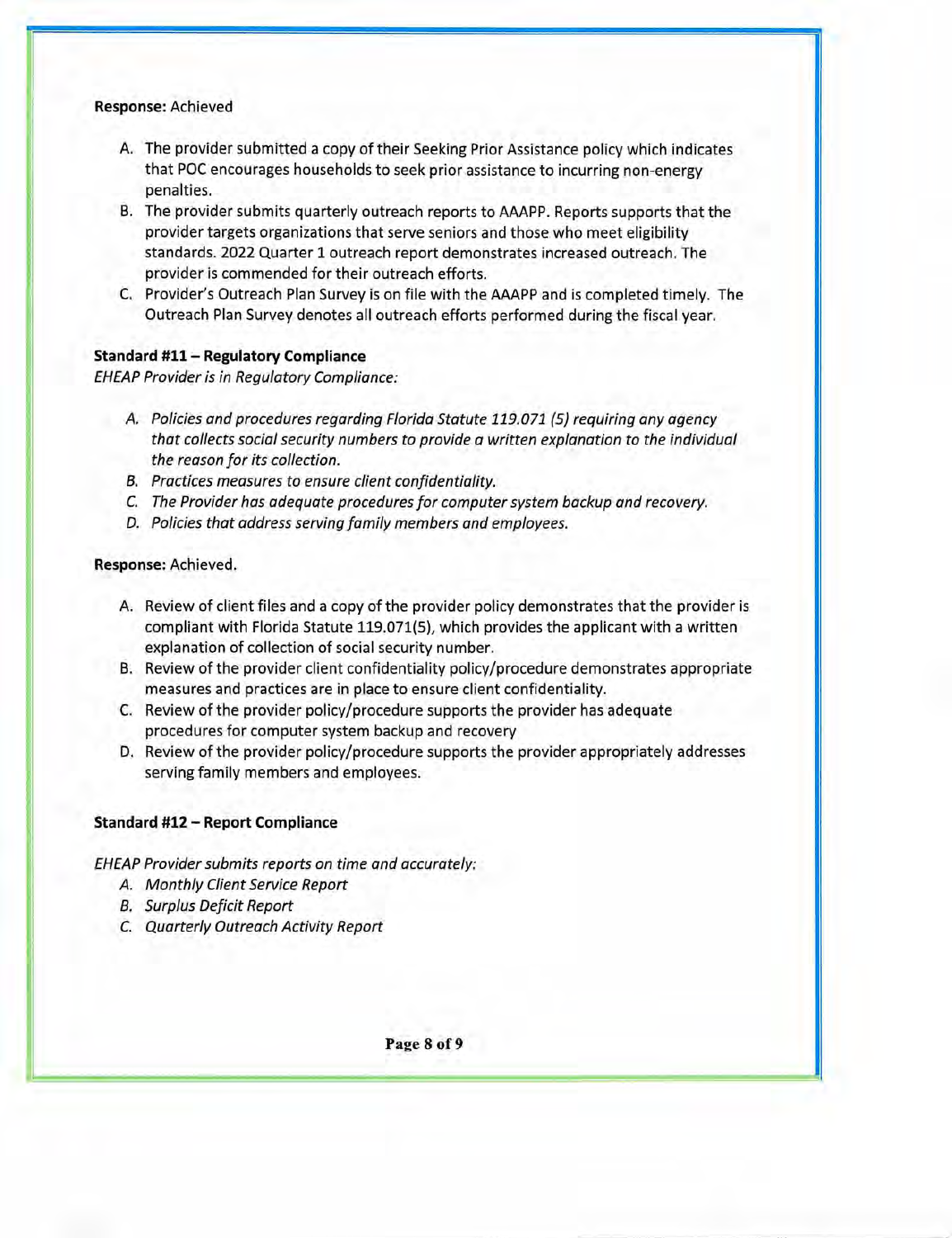#### **Response:** Achieved

- A. The provider submitted a copy of their Seeking Prior Assistance policy which indicates that POC encourages households to seek prior assistance to incurring non-energy penalties.
- B. The provider submits quarterly outreach reports to AAAPP. Reports supports that the provider targets organizations that serve seniors and those who meet eligibility standards. 2022 Quarter 1 outreach report demonstrates increased outreach. The provider is commended for their outreach efforts.
- C. Provider's Outreach Plan Survey is on file with the AAAPP and is completed timely. The Outreach Plan Survey denotes all outreach efforts performed during the fiscal year.

#### Standard **#11** — **Regulatory Compliance**

*EHEAP Provider is in Regulatory Compliance:* 

- *A. Policies and procedures regarding Florida Statute 119.071 (5) requiring any agency that collects social security numbers to provide a written explanation to the individual the reason for its collection.*
- *B. Practices measures to ensure client confidentiality.*
- *C. The Provider has adequate procedures for computer system backup and recovery.*
- *D. Policies that address serving family members and employees.*

#### **Response:** Achieved.

- A. Review of client files and a copy of the provider policy demonstrates that the provider is compliant with Florida Statute 119.071(5), which provides the applicant with a written explanation of collection of social security number.
- B. Review of the provider client confidentiality policy/procedure demonstrates appropriate measures and practices are in place to ensure client confidentiality.
- C. Review of the provider policy/procedure supports the provider has adequate procedures for computer system backup and recovery
- D. Review of the provider policy/procedure supports the provider appropriately addresses serving family members and employees.

#### **Standard #12** — **Report Compliance**

*EHEAP Provider submits reports on time and accurately:* 

- *A. Monthly Client Service Report*
- *B. Surplus Deficit Report*
- *C. Quarterly Outreach Activity Report*

**Page 8 of 9**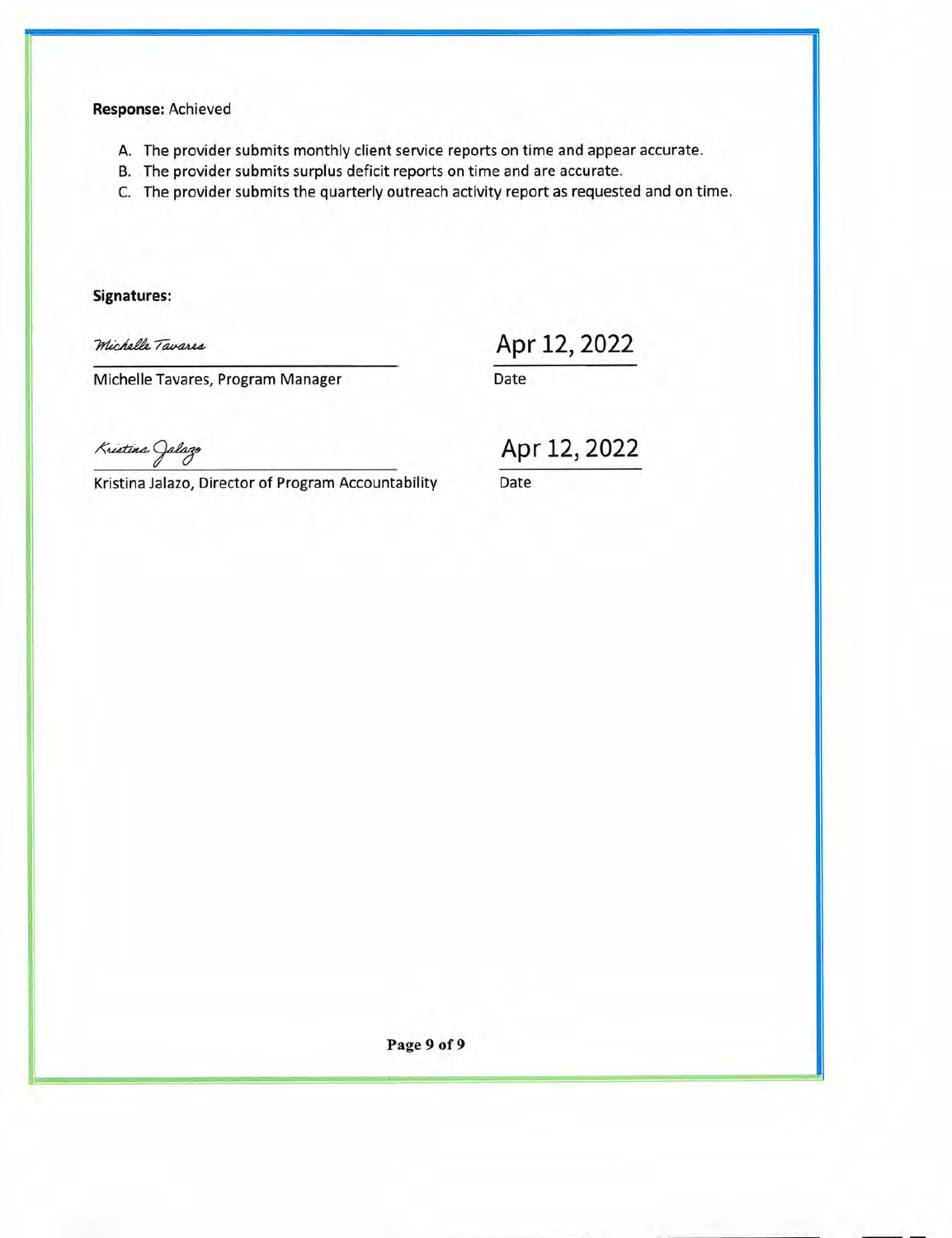### **Response:** Achieved

- A. The provider submits monthly client service reports on time and appear accurate.
- B. The provider submits surplus deficit reports on time and are accurate.
- C. The provider submits the quarterly outreach activity report as requested and on time.

**Signatures:** 

Michelle Tavares

Apr 12, 2022

Michelle Tavares, Program Manager

Date

Kristina Jalazo

Kristina Jalazo, Director of Program Accountability

Apr 12, 2022

Date

Page 9 of 9